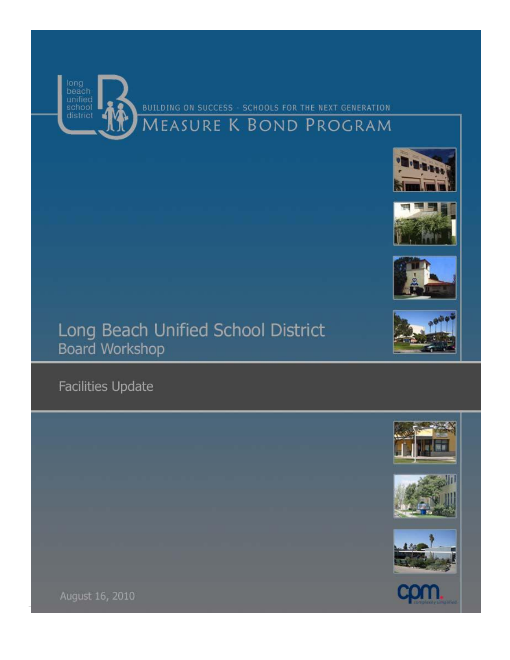August 16, 2010

Facilities Update

## Long Beach Unified School District Board Workshop













# **MEASURE K BOND PROGRAM**

BUILDING ON SUCCESS - SCHOOLS FOR THE NEXT GENERATION



**CONT** 



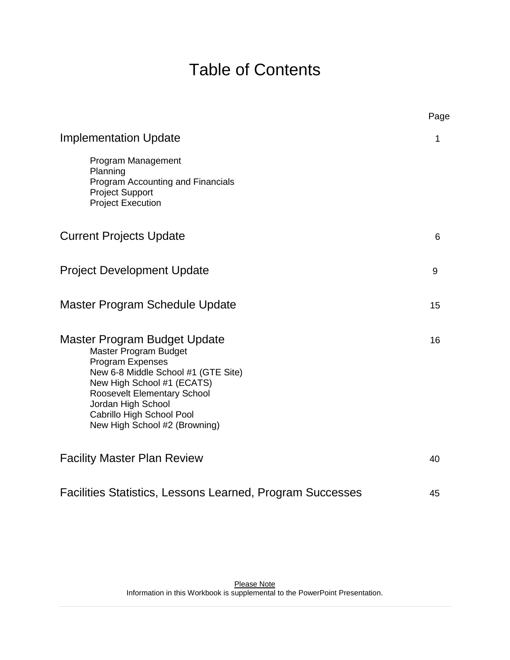## Table of Contents

|                                                                                                                                                                                                                                                                   | Page |
|-------------------------------------------------------------------------------------------------------------------------------------------------------------------------------------------------------------------------------------------------------------------|------|
| <b>Implementation Update</b>                                                                                                                                                                                                                                      | 1    |
| Program Management<br>Planning<br>Program Accounting and Financials<br><b>Project Support</b><br><b>Project Execution</b>                                                                                                                                         |      |
| <b>Current Projects Update</b>                                                                                                                                                                                                                                    | 6    |
| <b>Project Development Update</b>                                                                                                                                                                                                                                 | 9    |
| Master Program Schedule Update                                                                                                                                                                                                                                    | 15   |
| Master Program Budget Update<br>Master Program Budget<br>Program Expenses<br>New 6-8 Middle School #1 (GTE Site)<br>New High School #1 (ECATS)<br>Roosevelt Elementary School<br>Jordan High School<br>Cabrillo High School Pool<br>New High School #2 (Browning) | 16   |
| <b>Facility Master Plan Review</b>                                                                                                                                                                                                                                | 40   |
| Facilities Statistics, Lessons Learned, Program Successes                                                                                                                                                                                                         | 45   |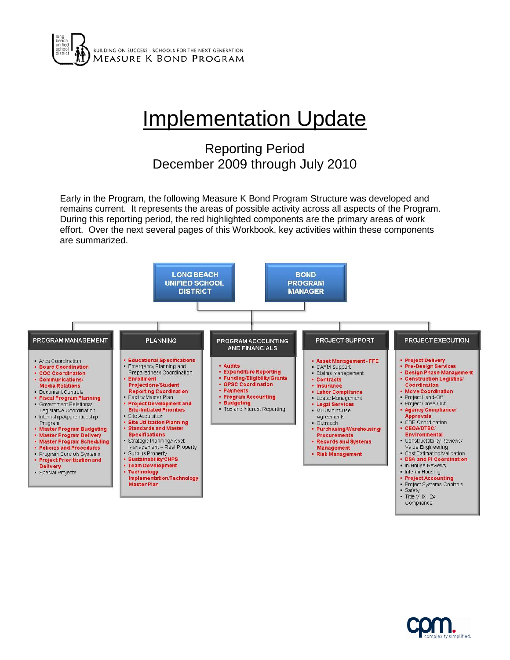

## **Implementation Update**

## Reporting Period December 2009 through July 2010

Early in the Program, the following Measure K Bond Program Structure was developed and remains current. It represents the areas of possible activity across all aspects of the Program. During this reporting period, the red highlighted components are the primary areas of work effort. Over the next several pages of this Workbook, key activities within these components are summarized.



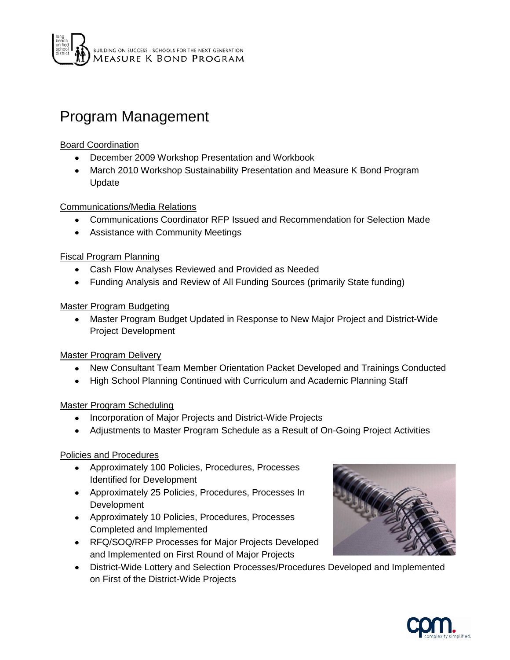## Program Management

## Board Coordination

- December 2009 Workshop Presentation and Workbook
- March 2010 Workshop Sustainability Presentation and Measure K Bond Program Update

Communications/Media Relations

- Communications Coordinator RFP Issued and Recommendation for Selection Made
- Assistance with Community Meetings

## Fiscal Program Planning

- Cash Flow Analyses Reviewed and Provided as Needed
- Funding Analysis and Review of All Funding Sources (primarily State funding)

## Master Program Budgeting

Master Program Budget Updated in Response to New Major Project and District-Wide Project Development

Master Program Delivery

- New Consultant Team Member Orientation Packet Developed and Trainings Conducted  $\bullet$
- High School Planning Continued with Curriculum and Academic Planning Staff  $\bullet$

## Master Program Scheduling

- Incorporation of Major Projects and District-Wide Projects
- Adjustments to Master Program Schedule as a Result of On-Going Project Activities

## Policies and Procedures

- Approximately 100 Policies, Procedures, Processes Identified for Development
- Approximately 25 Policies, Procedures, Processes In Development
- Approximately 10 Policies, Procedures, Processes Completed and Implemented
- RFQ/SOQ/RFP Processes for Major Projects Developed and Implemented on First Round of Major Projects
- District-Wide Lottery and Selection Processes/Procedures Developed and Implemented on First of the District-Wide Projects



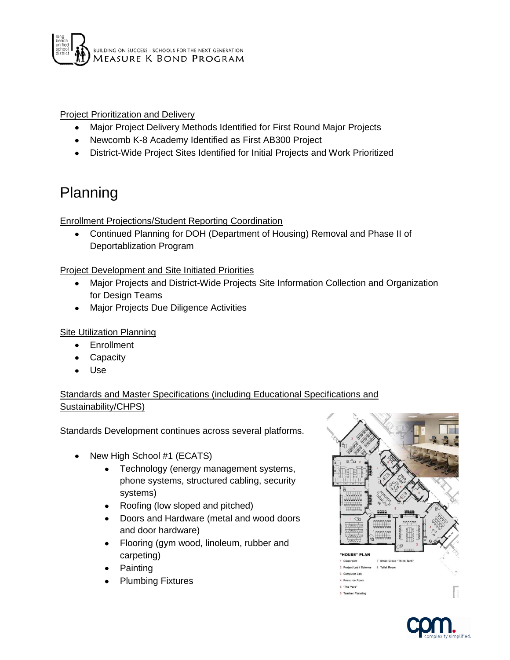

Project Prioritization and Delivery

- Major Project Delivery Methods Identified for First Round Major Projects  $\bullet$
- Newcomb K-8 Academy Identified as First AB300 Project
- District-Wide Project Sites Identified for Initial Projects and Work Prioritized

## Planning

Enrollment Projections/Student Reporting Coordination

Continued Planning for DOH (Department of Housing) Removal and Phase II of  $\bullet$ Deportablization Program

## Project Development and Site Initiated Priorities

- Major Projects and District-Wide Projects Site Information Collection and Organization for Design Teams
- Major Projects Due Diligence Activities

#### Site Utilization Planning

- **Enrollment**
- Capacity
- Use

Standards and Master Specifications (including Educational Specifications and Sustainability/CHPS)

Standards Development continues across several platforms.

- New High School #1 (ECATS)
	- $\bullet$ Technology (energy management systems, phone systems, structured cabling, security systems)
	- Roofing (low sloped and pitched)
	- Doors and Hardware (metal and wood doors and door hardware)
	- Flooring (gym wood, linoleum, rubber and  $\bullet$ carpeting)
	- Painting
	- Plumbing Fixtures



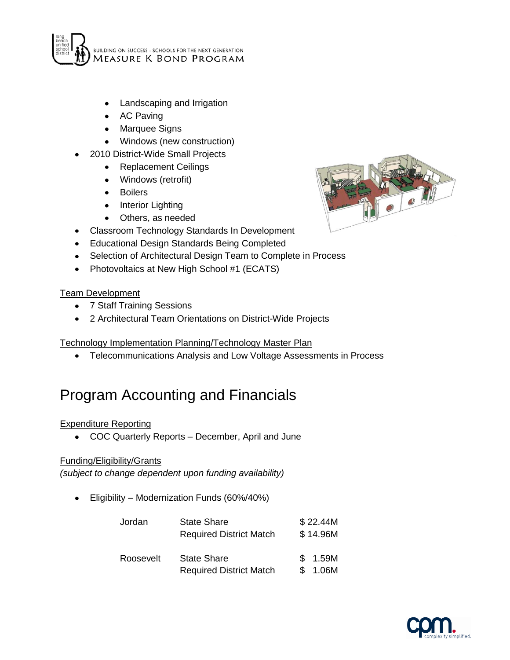

- Landscaping and Irrigation
- AC Paving
- $\bullet$ Marquee Signs
- Windows (new construction)
- 2010 District-Wide Small Projects
	- Replacement Ceilings  $\bullet$
	- Windows (retrofit)
	- Boilers  $\bullet$
	- Interior Lighting
	- $\bullet$ Others, as needed
- Classroom Technology Standards In Development
- Educational Design Standards Being Completed
- Selection of Architectural Design Team to Complete in Process
- Photovoltaics at New High School #1 (ECATS)

#### **Team Development**

- 7 Staff Training Sessions  $\bullet$
- 2 Architectural Team Orientations on District-Wide Projects

## Technology Implementation Planning/Technology Master Plan

Telecommunications Analysis and Low Voltage Assessments in Process  $\bullet$ 

## Program Accounting and Financials

## Expenditure Reporting

COC Quarterly Reports – December, April and June  $\bullet$ 

#### Funding/Eligibility/Grants

*(subject to change dependent upon funding availability)*

Eligibility – Modernization Funds (60%/40%)  $\bullet$ 

| Jordan    | <b>State Share</b><br><b>Required District Match</b> | \$22.44M<br>\$14.96M |
|-----------|------------------------------------------------------|----------------------|
| Roosevelt | <b>State Share</b><br><b>Required District Match</b> | \$1.59M<br>\$1.06M   |



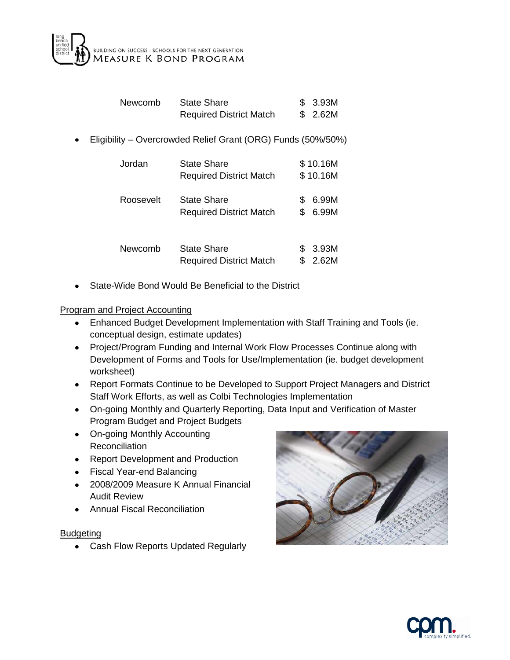

| Newcomb | State Share                    | \$3.93M |
|---------|--------------------------------|---------|
|         | <b>Required District Match</b> | \$2.62M |

Eligibility – Overcrowded Relief Grant (ORG) Funds (50%/50%)  $\bullet$ 

| Jordan    | <b>State Share</b><br><b>Required District Match</b> |     | \$10.16M<br>\$10.16M |
|-----------|------------------------------------------------------|-----|----------------------|
| Roosevelt | <b>State Share</b><br><b>Required District Match</b> | S.  | 6.99M<br>6.99M       |
| Newcomb   | State Share<br><b>Required District Match</b>        | \$. | 3.93M<br>2.62M       |

State-Wide Bond Would Be Beneficial to the District

#### Program and Project Accounting

- Enhanced Budget Development Implementation with Staff Training and Tools (ie.  $\bullet$ conceptual design, estimate updates)
- Project/Program Funding and Internal Work Flow Processes Continue along with Development of Forms and Tools for Use/Implementation (ie. budget development worksheet)
- Report Formats Continue to be Developed to Support Project Managers and District Staff Work Efforts, as well as Colbi Technologies Implementation
- On-going Monthly and Quarterly Reporting, Data Input and Verification of Master Program Budget and Project Budgets
- On-going Monthly Accounting **Reconciliation**
- Report Development and Production
- Fiscal Year-end Balancing
- 2008/2009 Measure K Annual Financial Audit Review
- Annual Fiscal Reconciliation

## Budgeting

Cash Flow Reports Updated Regularly



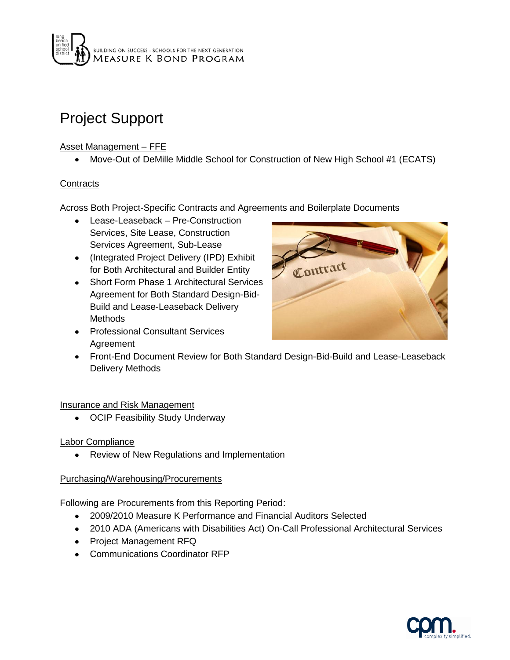

## Project Support

## Asset Management – FFE

Move-Out of DeMille Middle School for Construction of New High School #1 (ECATS)

## **Contracts**

Across Both Project-Specific Contracts and Agreements and Boilerplate Documents

- Lease-Leaseback Pre-Construction Services, Site Lease, Construction Services Agreement, Sub-Lease
- (Integrated Project Delivery (IPD) Exhibit for Both Architectural and Builder Entity
- Short Form Phase 1 Architectural Services Agreement for Both Standard Design-Bid-Build and Lease-Leaseback Delivery Methods
- Professional Consultant Services Agreement



Front-End Document Review for Both Standard Design-Bid-Build and Lease-Leaseback Delivery Methods

## Insurance and Risk Management

• OCIP Feasibility Study Underway

## Labor Compliance

Review of New Regulations and Implementation  $\bullet$ 

## Purchasing/Warehousing/Procurements

Following are Procurements from this Reporting Period:

- 2009/2010 Measure K Performance and Financial Auditors Selected
- 2010 ADA (Americans with Disabilities Act) On-Call Professional Architectural Services
- Project Management RFQ
- Communications Coordinator RFP

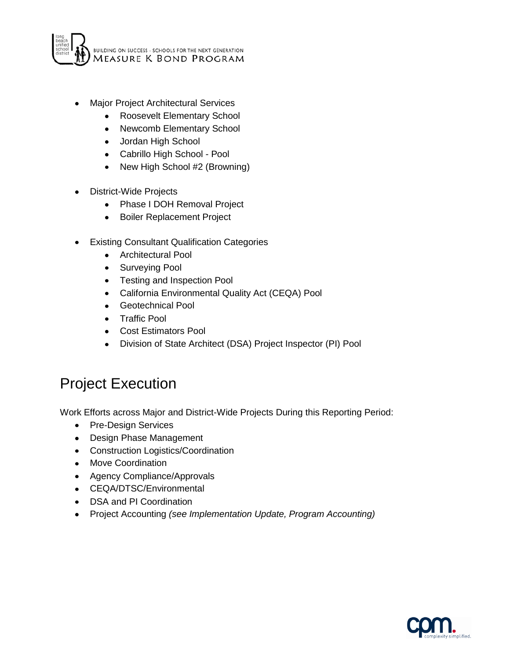

- Major Project Architectural Services
	- Roosevelt Elementary School
	- Newcomb Elementary School
	- Jordan High School
	- Cabrillo High School Pool
	- New High School #2 (Browning)
- District-Wide Projects
	- Phase I DOH Removal Project  $\bullet$
	- $\bullet$ Boiler Replacement Project
- Existing Consultant Qualification Categories  $\bullet$ 
	- Architectural Pool
	- Surveying Pool
	- Testing and Inspection Pool
	- California Environmental Quality Act (CEQA) Pool
	- Geotechnical Pool
	- Traffic Pool
	- Cost Estimators Pool
	- Division of State Architect (DSA) Project Inspector (PI) Pool  $\bullet$

## Project Execution

Work Efforts across Major and District-Wide Projects During this Reporting Period:

- Pre-Design Services
- Design Phase Management
- Construction Logistics/Coordination
- Move Coordination
- Agency Compliance/Approvals
- CEQA/DTSC/Environmental
- DSA and PI Coordination
- Project Accounting *(see Implementation Update, Program Accounting)*

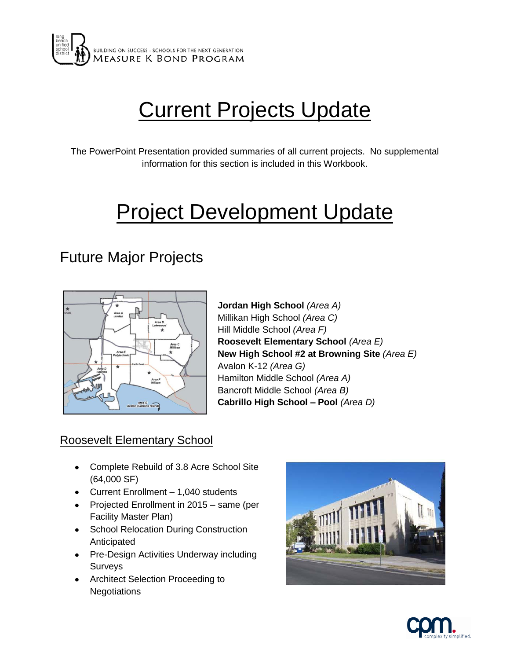

# **Current Projects Update**

The PowerPoint Presentation provided summaries of all current projects. No supplemental information for this section is included in this Workbook.

# **Project Development Update**

## Future Major Projects



**Jordan High School** *(Area A)* Millikan High School *(Area C)* Hill Middle School *(Area F)* **Roosevelt Elementary School** *(Area E)* **New High School #2 at Browning Site** *(Area E)* Avalon K-12 *(Area G)* Hamilton Middle School *(Area A)* Bancroft Middle School *(Area B)* **Cabrillo High School – Pool** *(Area D)*

## Roosevelt Elementary School

- Complete Rebuild of 3.8 Acre School Site (64,000 SF)
- Current Enrollment 1,040 students
- Projected Enrollment in 2015 same (per Facility Master Plan)
- School Relocation During Construction Anticipated
- Pre-Design Activities Underway including Surveys
- Architect Selection Proceeding to **Negotiations**



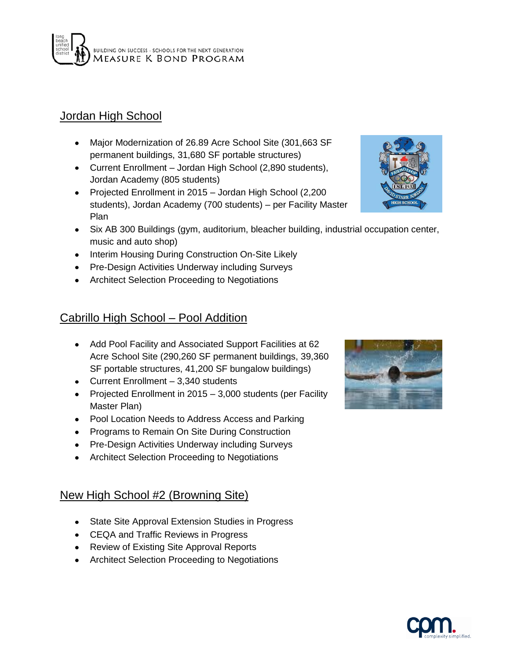

## Jordan High School

- Major Modernization of 26.89 Acre School Site (301,663 SF permanent buildings, 31,680 SF portable structures)
- Current Enrollment Jordan High School (2,890 students), Jordan Academy (805 students)
- Projected Enrollment in 2015 Jordan High School (2,200 students), Jordan Academy (700 students) – per Facility Master Plan
- Six AB 300 Buildings (gym, auditorium, bleacher building, industrial occupation center, music and auto shop)
- Interim Housing During Construction On-Site Likely
- Pre-Design Activities Underway including Surveys
- Architect Selection Proceeding to Negotiations

## Cabrillo High School – Pool Addition

- Add Pool Facility and Associated Support Facilities at 62 Acre School Site (290,260 SF permanent buildings, 39,360 SF portable structures, 41,200 SF bungalow buildings)
- Current Enrollment 3,340 students
- Projected Enrollment in  $2015 3,000$  students (per Facility Master Plan)
- Pool Location Needs to Address Access and Parking
- Programs to Remain On Site During Construction
- Pre-Design Activities Underway including Surveys
- Architect Selection Proceeding to Negotiations

## New High School #2 (Browning Site)

- State Site Approval Extension Studies in Progress
- CEQA and Traffic Reviews in Progress
- Review of Existing Site Approval Reports
- Architect Selection Proceeding to Negotiations





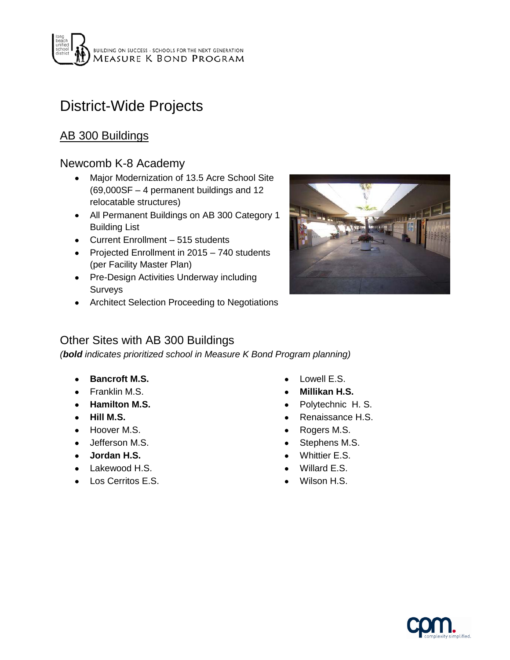

## District-Wide Projects

## AB 300 Buildings

## Newcomb K-8 Academy

- Major Modernization of 13.5 Acre School Site  $\bullet$ (69,000SF – 4 permanent buildings and 12 relocatable structures)
- All Permanent Buildings on AB 300 Category 1 Building List
- Current Enrollment 515 students
- Projected Enrollment in 2015 740 students (per Facility Master Plan)
- Pre-Design Activities Underway including Surveys
- Architect Selection Proceeding to Negotiations



## Other Sites with AB 300 Buildings

*(bold indicates prioritized school in Measure K Bond Program planning)*

- **Bancroft M.S.**
- Franklin M.S.
- **Hamilton M.S.**
- **Hill M.S.**
- Hoover M.S.
- Jefferson M.S.
- **Jordan H.S.**
- Lakewood H.S.
- Los Cerritos E.S.
- Lowell E.S.
- **Millikan H.S.**
- Polytechnic H. S.
- Renaissance H.S.
- Rogers M.S.
- Stephens M.S.
- Whittier E.S.
- Willard E.S.
- Wilson H.S.

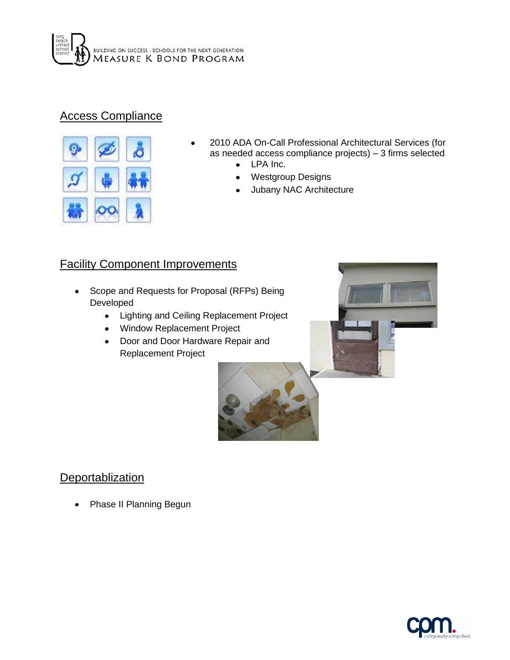

## Access Compliance



- 2010 ADA On-Call Professional Architectural Services (for as needed access compliance projects) – 3 firms selected
	- LPA Inc.  $\bullet$
	- Westgroup Designs  $\bullet$
	- Jubany NAC Architecture

## **Facility Component Improvements**

- Scope and Requests for Proposal (RFPs) Being Developed
	- Lighting and Ceiling Replacement Project
	- Window Replacement Project
	- Door and Door Hardware Repair and Replacement Project



# **Deportablization**

Phase II Planning Begun

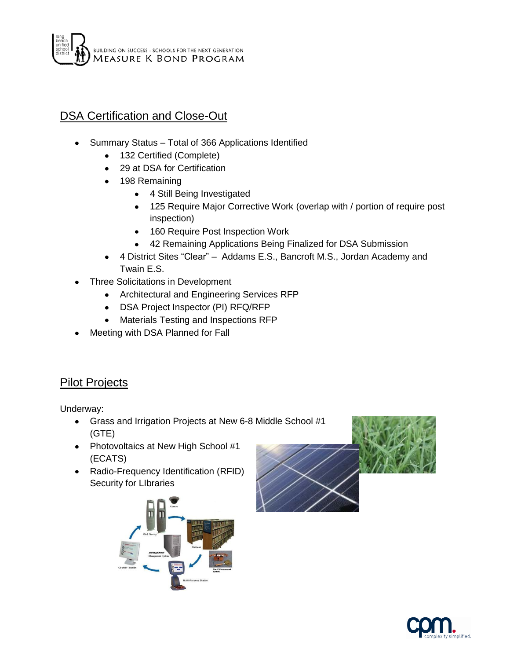## DSA Certification and Close-Out

- Summary Status Total of 366 Applications Identified
	- 132 Certified (Complete)
	- 29 at DSA for Certification
	- 198 Remaining
		- 4 Still Being Investigated
		- 125 Require Major Corrective Work (overlap with / portion of require post inspection)
		- $\bullet$ 160 Require Post Inspection Work
		- $\bullet$ 42 Remaining Applications Being Finalized for DSA Submission
	- 4 District Sites "Clear" Addams E.S., Bancroft M.S., Jordan Academy and Twain E.S.
- Three Solicitations in Development
	- Architectural and Engineering Services RFP
	- DSA Project Inspector (PI) RFQ/RFP
	- Materials Testing and Inspections RFP  $\bullet$
- Meeting with DSA Planned for Fall

## **Pilot Projects**

Underway:

- Grass and Irrigation Projects at New 6-8 Middle School #1 (GTE)
- Photovoltaics at New High School #1 (ECATS)
- Radio-Frequency Identification (RFID) Security for LIbraries





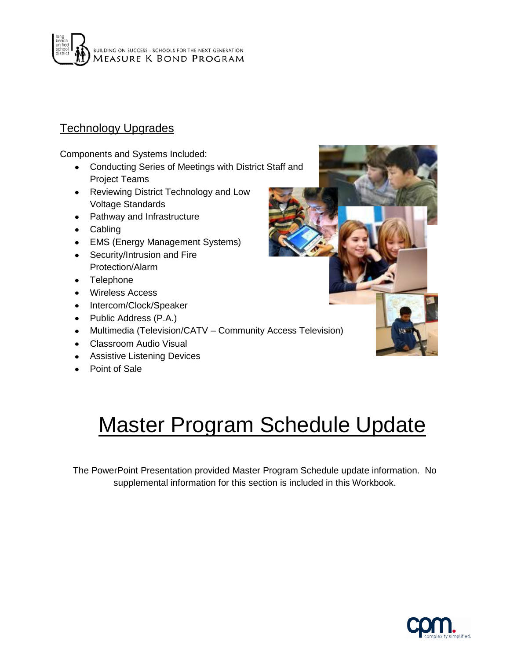# BUILDING ON SUCCESS - SCHOOLS FOR THE NEXT GENERATION<br>MEASURE K BOND PROGRAM

## Technology Upgrades

Components and Systems Included:

- Conducting Series of Meetings with District Staff and Project Teams
- Reviewing District Technology and Low Voltage Standards
- Pathway and Infrastructure
- Cabling
- EMS (Energy Management Systems)
- Security/Intrusion and Fire Protection/Alarm
- Telephone
- Wireless Access
- Intercom/Clock/Speaker
- Public Address (P.A.)
- Multimedia (Television/CATV Community Access Television)
- Classroom Audio Visual
- Assistive Listening Devices
- Point of Sale



# Master Program Schedule Update

The PowerPoint Presentation provided Master Program Schedule update information. No supplemental information for this section is included in this Workbook.

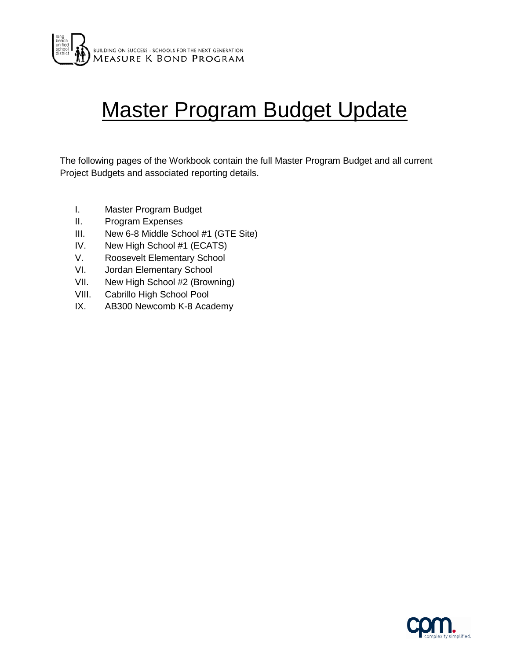

# Master Program Budget Update

The following pages of the Workbook contain the full Master Program Budget and all current Project Budgets and associated reporting details.

- I. Master Program Budget
- II. Program Expenses
- III. New 6-8 Middle School #1 (GTE Site)
- IV. New High School #1 (ECATS)
- V. Roosevelt Elementary School
- VI. Jordan Elementary School
- VII. New High School #2 (Browning)
- VIII. Cabrillo High School Pool
- IX. AB300 Newcomb K-8 Academy

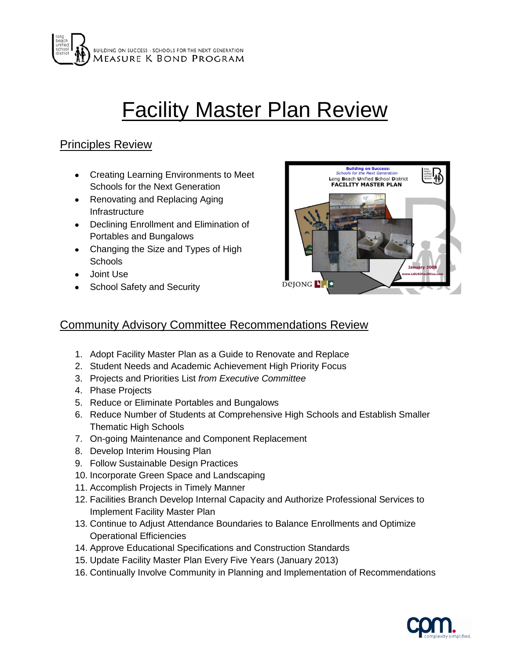

# **Facility Master Plan Review**

## Principles Review

- Creating Learning Environments to Meet Schools for the Next Generation
- Renovating and Replacing Aging Infrastructure
- Declining Enrollment and Elimination of Portables and Bungalows
- Changing the Size and Types of High **Schools**
- Joint Use
- School Safety and Security



## Community Advisory Committee Recommendations Review

- 1. Adopt Facility Master Plan as a Guide to Renovate and Replace
- 2. Student Needs and Academic Achievement High Priority Focus
- 3. Projects and Priorities List *from Executive Committee*
- 4. Phase Projects
- 5. Reduce or Eliminate Portables and Bungalows
- 6. Reduce Number of Students at Comprehensive High Schools and Establish Smaller Thematic High Schools
- 7. On-going Maintenance and Component Replacement
- 8. Develop Interim Housing Plan
- 9. Follow Sustainable Design Practices
- 10. Incorporate Green Space and Landscaping
- 11. Accomplish Projects in Timely Manner
- 12. Facilities Branch Develop Internal Capacity and Authorize Professional Services to Implement Facility Master Plan
- 13. Continue to Adjust Attendance Boundaries to Balance Enrollments and Optimize Operational Efficiencies
- 14. Approve Educational Specifications and Construction Standards
- 15. Update Facility Master Plan Every Five Years (January 2013)
- 16. Continually Involve Community in Planning and Implementation of Recommendations

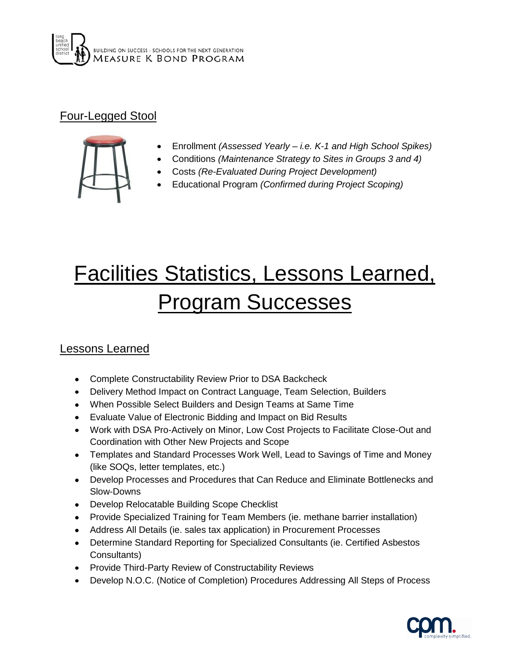

## Four-Legged Stool



- Enrollment *(Assessed Yearly – i.e. K-1 and High School Spikes)*
- Conditions *(Maintenance Strategy to Sites in Groups 3 and 4)*
- Costs *(Re-Evaluated During Project Development)*
- Educational Program *(Confirmed during Project Scoping)*

# Facilities Statistics, Lessons Learned, Program Successes

## Lessons Learned

- Complete Constructability Review Prior to DSA Backcheck
- Delivery Method Impact on Contract Language, Team Selection, Builders
- When Possible Select Builders and Design Teams at Same Time
- Evaluate Value of Electronic Bidding and Impact on Bid Results
- Work with DSA Pro-Actively on Minor, Low Cost Projects to Facilitate Close-Out and Coordination with Other New Projects and Scope
- Templates and Standard Processes Work Well, Lead to Savings of Time and Money (like SOQs, letter templates, etc.)
- Develop Processes and Procedures that Can Reduce and Eliminate Bottlenecks and Slow-Downs
- Develop Relocatable Building Scope Checklist
- Provide Specialized Training for Team Members (ie. methane barrier installation)
- Address All Details (ie. sales tax application) in Procurement Processes
- Determine Standard Reporting for Specialized Consultants (ie. Certified Asbestos Consultants)
- Provide Third-Party Review of Constructability Reviews
- Develop N.O.C. (Notice of Completion) Procedures Addressing All Steps of Process